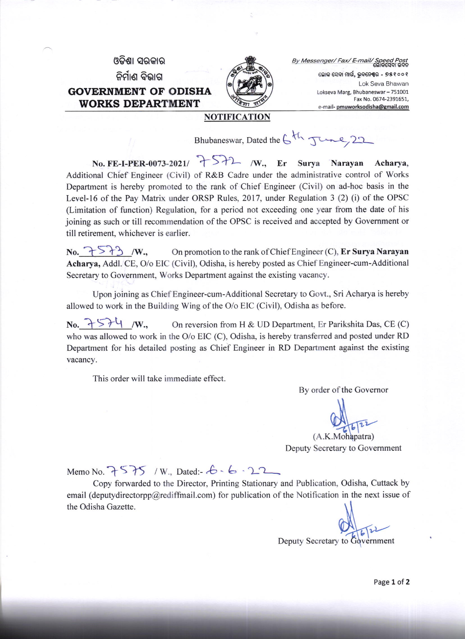ଓଡିଶା ସରକାର ନିର୍ମାଣ ବିଭାଗ GOVERNMENT OF ODISHA WORKS DEPARTMENT



By Messenger/ Fax/ E-mail/ Spe ଲୋକ ସେବା ମାର୍ଗ, ଭୁବନେଶ୍ୱର - ୭୫୧୦୦୧ Lok Seva Bhawan

Lokseva Marg, Bhubaneswar - 751001 Fax No.0674 2391651, e-mail- pmuworksodisha@gmail.com

## NOTIFICATION

Bhubaneswar, Dated the  $6th$  June, 22

No. FE-I-PER-0073-2021/  $\rightarrow$   $\rightarrow$   $\rightarrow$   $\rightarrow$  /W., Er Surya Narayan Acharya, Additional Chief Engineer (Civil) of R&B Cadre under the administrative control of Works Department is hereby promoted to the rank of Chief Engineer (Civil) on ad-hoc basis in the Level-16 of the Pay Matrix under ORSP Rules, 2017, under Regulation 3 (2) (i) of the OPSC (Limitation of function) Regulation, for a period not exceeding one year from the date of his joining as such or till recommendation of the OPSC is received and accepted by Government or till retirement, whichever is earlier.

No.  $\mathcal{F} \setminus \mathcal{F}$  /W., On promotion to the rank of Chief Engineer (C), Er Surya Narayan Acharya, Addl. CE, O/o EIC (Civil), Odisha, is hereby posted as Chief Engineer-cum-Additional Secretary to Government, Works Department against the existing vacancy.

Upon joining as Chief Engineer-cum-Additional Secretary to Govt., Sri Acharya is hereby allowed to work in the Building Wing of the O/o EIC (Civil), Odisha as before.

No.  $\rightarrow$  5? $\downarrow$  /W., On reversion from H & UD Department, Er Parikshita Das, CE (C) who was allowed to work in the O/o EIC (C), Odisha, is hereby transferred and posted under RD Department for his detailed posting as Chief Engineer in RD Department against the existing vacancy.

This order will take immediate effect.

By order of the Governor

 $\tilde{\mathfrak{v}}$ 

(A.K.Mohapatra) Deputy Secretary to Govemment

Memo No.  $7575 / W$ , Dated:  $6 - 22$ 

Copy forwarded to the Director, Printing Stationary and Publication, Odisha, Cuttack by email (deputydirectorpp@rediffmail.com) for publication of the Notification in the next issue of the Odisha Gazette

Deputy Secretary to Government